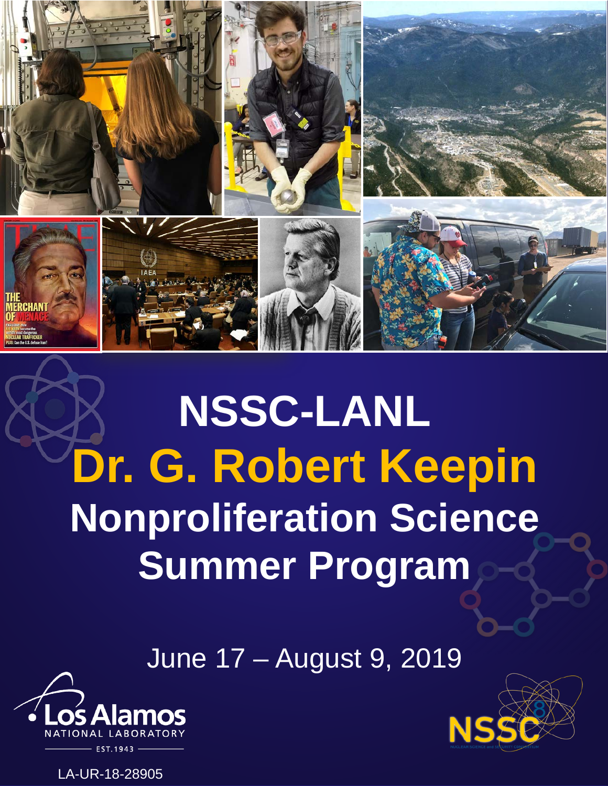

# **NSSC-LANL Dr. G. Robert Keepin Nonproliferation Science Summer Program**

June 17 – August 9, 2019





LA-UR-18-28905